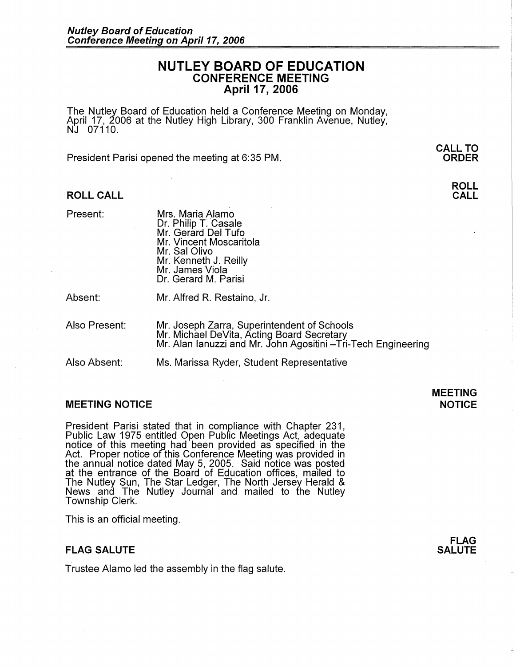## **NUTLEY BOARD OF EDUCATION CONFERENCE MEETING April 17, 2006**

The Nutley Board of Education held a Conference Meeting on Monday, April 17, 2006 at the Nutley High Library, 300 Franklin Avenue, Nutley, NJ 07110.

President Parisi opened the meeting at 6:35 PM.

#### **ROLL CALL**

Present: Mrs. Maria Alamo Dr. Philip T. Casale Mr. Gerard Del Tufo Mr. Vincent Moscaritola Mr. Sal Olivo Mr. Kenneth J. Reilly Mr. James Viola Dr. Gerard M. Parisi

Absent: Mr. Alfred R. Restaino, Jr.

Also Present: Mr. Joseph Zarra, Superintendent of Schools Mr. Michael DeVita, Acting Board Secretary Mr. Alan Ianuzzi and Mr. John Agositini -Tri-Tech Engineering

Also Absent: Ms. Marissa Ryder, Student Representative

#### **MEETING NOTICE NOTICE AND INCLUSION CONTROL**

President Parisi stated that in compliance with Chapter 231, Public Law 1975 entitled Open Public Meetings Act, adequate notice of this meeting had been provided as specified in the Act. Proper notice of this Conference Meeting was provided in the annual notice dated May 5, 2005. Said notice was posted at the entrance of the Board of Education offices, mailed to The Nutley Sun, The Star Ledger, The North Jersey Herald & News and The Nutley Journal and mailed to the Nutley Township Clerk.

This is an official meeting.

#### **FLAG SALUTE**

Trustee Alamo led the assembly in the flag salute.

# **MEETING**

**FLAG SALUTE** 

**CALL TO ORDER** 

# **ROLL**

**CALL**